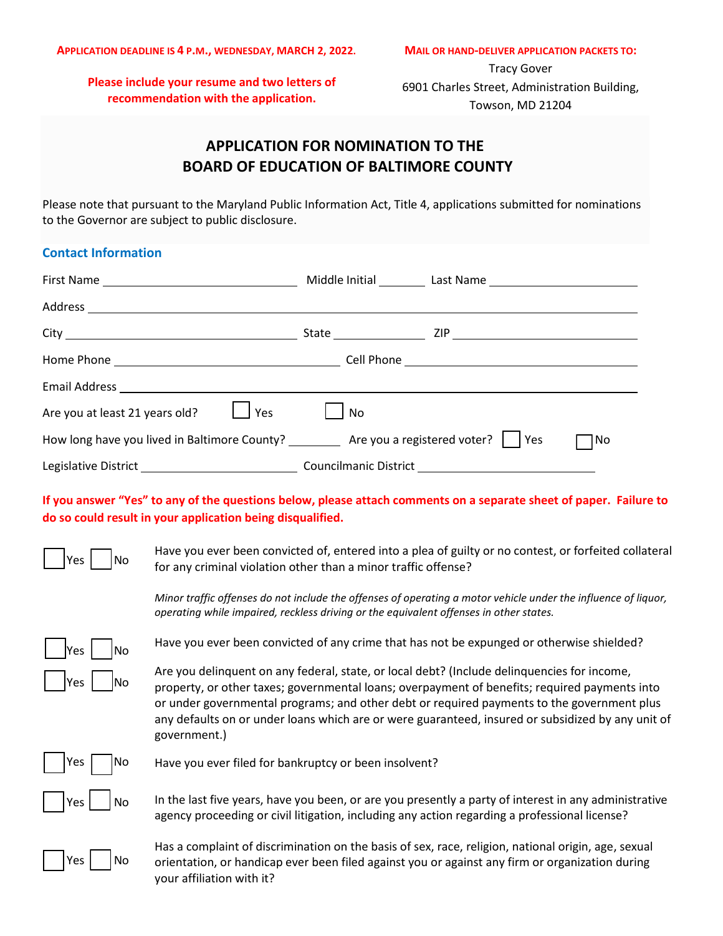**Please include your resume and two letters of recommendation with the application.**

Tracy Gover 6901 Charles Street, Administration Building, Towson, MD 21204

# **APPLICATION FOR NOMINATION TO THE BOARD OF EDUCATION OF BALTIMORE COUNTY**

Please note that pursuant to the Maryland Public Information Act, Title 4, applications submitted for nominations to the Governor are subject to public disclosure.

### **Contact Information**

| Are you at least 21 years old?<br>Yes                                                     | No |     |
|-------------------------------------------------------------------------------------------|----|-----|
| How long have you lived in Baltimore County? __________ Are you a registered voter? T Yes |    | 1No |
|                                                                                           |    |     |

**If you answer "Yes" to any of the questions below, please attach comments on a separate sheet of paper. Failure to do so could result in your application being disqualified.**



 $\gamma$ es  $\Box$ No Have you ever been convicted of, entered into a plea of guilty or no contest, or forfeited collateral for any criminal violation other than a minor traffic offense?

> *Minor traffic offenses do not include the offenses of operating a motor vehicle under the influence of liquor, operating while impaired, reckless driving or the equivalent offenses in other states.*

| <b>Yes</b> | lNo |
|------------|-----|
| <b>Yes</b> | lNo |

Have you ever been convicted of any crime that has not be expunged or otherwise shielded?

Are you delinquent on any federal, state, or local debt? (Include delinquencies for income, property, or other taxes; governmental loans; overpayment of benefits; required payments into or under governmental programs; and other debt or required payments to the government plus any defaults on or under loans which are or were guaranteed, insured or subsidized by any unit of government.)



Yes  $\vert$  No Have you ever filed for bankruptcy or been insolvent?

 $Y_{ES}$   $\vert$   $\vert$  No In the last five years, have you been, or are you presently a party of interest in any administrative agency proceeding or civil litigation, including any action regarding a professional license?



Has a complaint of discrimination on the basis of sex, race, religion, national origin, age, sexual orientation, or handicap ever been filed against you or against any firm or organization during your affiliation with it?